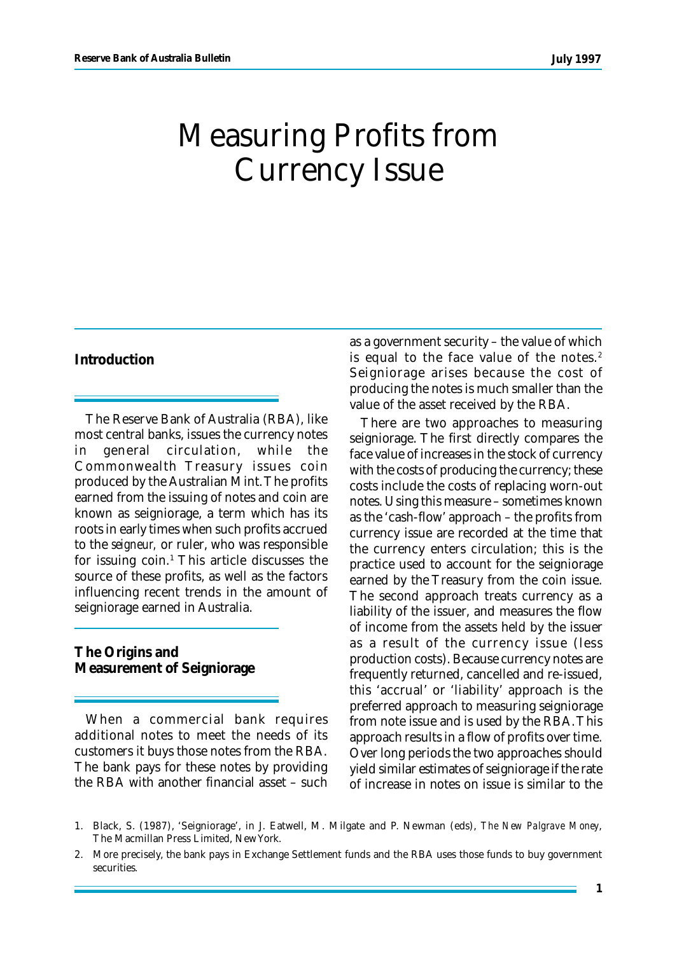# Measuring Profits from Currency Issue

# **Introduction**

The Reserve Bank of Australia (RBA), like most central banks, issues the currency notes in general circulation, while the Commonwealth Treasury issues coin produced by the Australian Mint. The profits earned from the issuing of notes and coin are known as seigniorage, a term which has its roots in early times when such profits accrued to the *seigneur,* or ruler, who was responsible for issuing coin.<sup>1</sup> This article discusses the source of these profits, as well as the factors influencing recent trends in the amount of seigniorage earned in Australia.

**The Origins and Measurement of Seigniorage**

When a commercial bank requires additional notes to meet the needs of its customers it buys those notes from the RBA. The bank pays for these notes by providing the RBA with another financial asset – such as a government security – the value of which is equal to the face value of the notes. $2$ Seigniorage arises because the cost of producing the notes is much smaller than the value of the asset received by the RBA.

There are two approaches to measuring seigniorage. The first directly compares the face value of increases in the stock of currency with the costs of producing the currency; these costs include the costs of replacing worn-out notes. Using this measure – sometimes known as the 'cash-flow' approach – the profits from currency issue are recorded at the time that the currency enters circulation; this is the practice used to account for the seigniorage earned by the Treasury from the coin issue. The second approach treats currency as a liability of the issuer, and measures the flow of income from the assets held by the issuer as a result of the currency issue (less production costs). Because currency notes are frequently returned, cancelled and re-issued, this 'accrual' or 'liability' approach is the preferred approach to measuring seigniorage from note issue and is used by the RBA. This approach results in a flow of profits over time. Over long periods the two approaches should yield similar estimates of seigniorage if the rate of increase in notes on issue is similar to the

<sup>1.</sup> Black, S. (1987), 'Seigniorage', in J. Eatwell, M. Milgate and P. Newman (eds), *The New Palgrave Money*, The Macmillan Press Limited, New York.

<sup>2.</sup> More precisely, the bank pays in Exchange Settlement funds and the RBA uses those funds to buy government securities.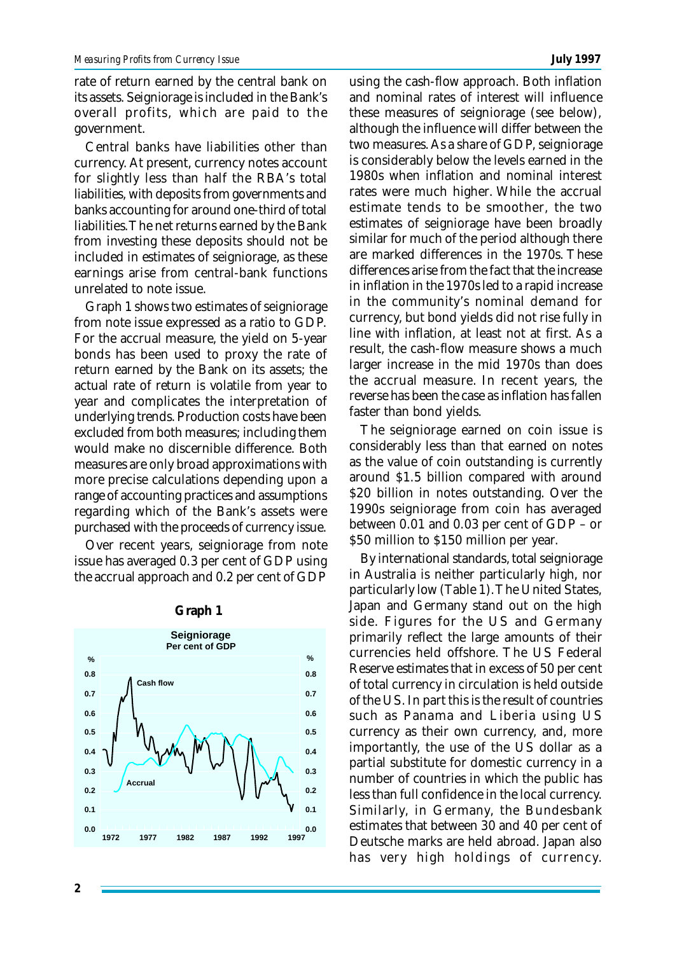rate of return earned by the central bank on its assets. Seigniorage is included in the Bank's overall profits, which are paid to the government.

Central banks have liabilities other than currency. At present, currency notes account for slightly less than half the RBA's total liabilities, with deposits from governments and banks accounting for around one-third of total liabilities. The net returns earned by the Bank from investing these deposits should not be included in estimates of seigniorage, as these earnings arise from central-bank functions unrelated to note issue.

Graph 1 shows two estimates of seigniorage from note issue expressed as a ratio to GDP. For the accrual measure, the yield on 5-year bonds has been used to proxy the rate of return earned by the Bank on its assets; the actual rate of return is volatile from year to year and complicates the interpretation of underlying trends. Production costs have been excluded from both measures; including them would make no discernible difference. Both measures are only broad approximations with more precise calculations depending upon a range of accounting practices and assumptions regarding which of the Bank's assets were purchased with the proceeds of currency issue.

Over recent years, seigniorage from note issue has averaged 0.3 per cent of GDP using the accrual approach and 0.2 per cent of GDP



**Graph 1**

using the cash-flow approach. Both inflation and nominal rates of interest will influence these measures of seigniorage (see below), although the influence will differ between the two measures. As a share of GDP, seigniorage is considerably below the levels earned in the 1980s when inflation and nominal interest rates were much higher. While the accrual estimate tends to be smoother, the two estimates of seigniorage have been broadly similar for much of the period although there are marked differences in the 1970s. These differences arise from the fact that the increase in inflation in the 1970s led to a rapid increase in the community's nominal demand for currency, but bond yields did not rise fully in line with inflation, at least not at first. As a result, the cash-flow measure shows a much larger increase in the mid 1970s than does the accrual measure. In recent years, the reverse has been the case as inflation has fallen faster than bond yields.

The seigniorage earned on coin issue is considerably less than that earned on notes as the value of coin outstanding is currently around \$1.5 billion compared with around \$20 billion in notes outstanding. Over the 1990s seigniorage from coin has averaged between 0.01 and 0.03 per cent of GDP – or \$50 million to \$150 million per year.

By international standards, total seigniorage in Australia is neither particularly high, nor particularly low (Table 1). The United States, Japan and Germany stand out on the high side. Figures for the US and Germany primarily reflect the large amounts of their currencies held offshore. The US Federal Reserve estimates that in excess of 50 per cent of total currency in circulation is held outside of the US. In part this is the result of countries such as Panama and Liberia using US currency as their own currency, and, more importantly, the use of the US dollar as a partial substitute for domestic currency in a number of countries in which the public has less than full confidence in the local currency. Similarly, in Germany, the Bundesbank estimates that between 30 and 40 per cent of Deutsche marks are held abroad. Japan also has very high holdings of currency.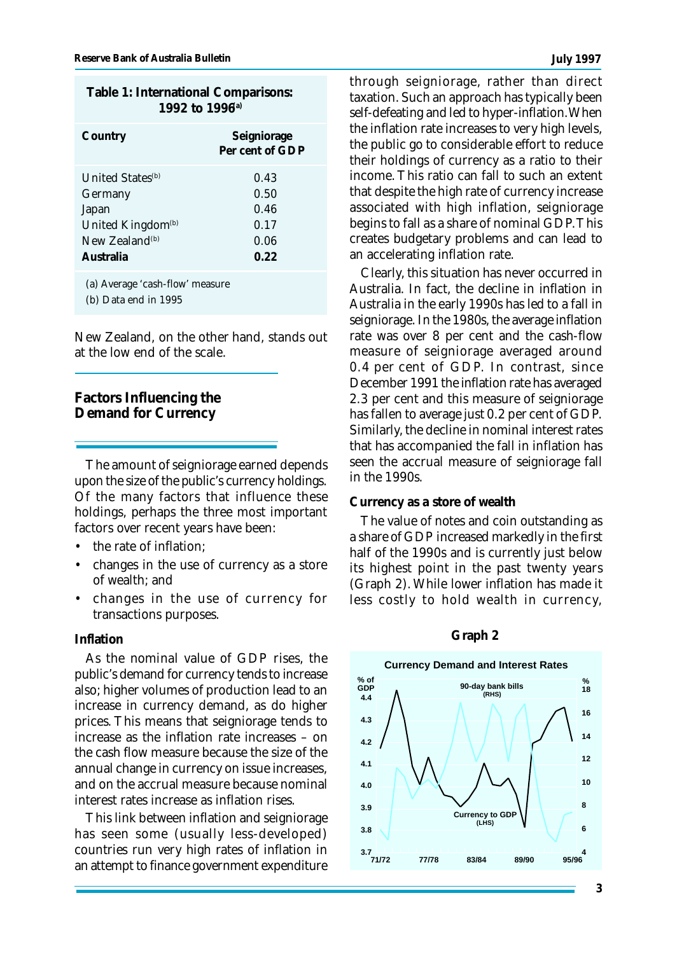| 1992 to 1996 <sup>a)</sup>                                                                                                          |                                              |
|-------------------------------------------------------------------------------------------------------------------------------------|----------------------------------------------|
| Country                                                                                                                             | Seigniorage<br>Per cent of GDP               |
| <b>United States</b> <sup>(b)</sup><br>Germany<br>Japan<br>United Kingdom <sup>(b)</sup><br>New Zealand <sup>(b)</sup><br>Australia | 0.43<br>0.50<br>0.46<br>0.17<br>0.06<br>0.22 |
| (a) Average 'cash-flow' measure                                                                                                     |                                              |

**Table 1: International Comparisons:**

(b) Data end in 1995

New Zealand, on the other hand, stands out at the low end of the scale.

**Factors Influencing the Demand for Currency**

The amount of seigniorage earned depends upon the size of the public's currency holdings. Of the many factors that influence these holdings, perhaps the three most important factors over recent years have been:

- the rate of inflation;
- changes in the use of currency as a store of wealth; and
- changes in the use of currency for transactions purposes.

#### **Inflation**

As the nominal value of GDP rises, the public's demand for currency tends to increase also; higher volumes of production lead to an increase in currency demand, as do higher prices. This means that seigniorage tends to increase as the inflation rate increases – on the cash flow measure because the size of the annual change in currency on issue increases, and on the accrual measure because nominal interest rates increase as inflation rises.

This link between inflation and seigniorage has seen some (usually less-developed) countries run very high rates of inflation in an attempt to finance government expenditure

through seigniorage, rather than direct taxation. Such an approach has typically been self-defeating and led to hyper-inflation. When the inflation rate increases to very high levels, the public go to considerable effort to reduce their holdings of currency as a ratio to their income. This ratio can fall to such an extent that despite the high rate of currency increase associated with high inflation, seigniorage begins to fall as a share of nominal GDP. This creates budgetary problems and can lead to an accelerating inflation rate.

Clearly, this situation has never occurred in Australia. In fact, the decline in inflation in Australia in the early 1990s has led to a fall in seigniorage. In the 1980s, the average inflation rate was over 8 per cent and the cash-flow measure of seigniorage averaged around 0.4 per cent of GDP. In contrast, since December 1991 the inflation rate has averaged 2.3 per cent and this measure of seigniorage has fallen to average just 0.2 per cent of GDP. Similarly, the decline in nominal interest rates that has accompanied the fall in inflation has seen the accrual measure of seigniorage fall in the 1990s.

### **Currency as a store of wealth**

The value of notes and coin outstanding as a share of GDP increased markedly in the first half of the 1990s and is currently just below its highest point in the past twenty years (Graph 2). While lower inflation has made it less costly to hold wealth in currency,



### **Graph 2**